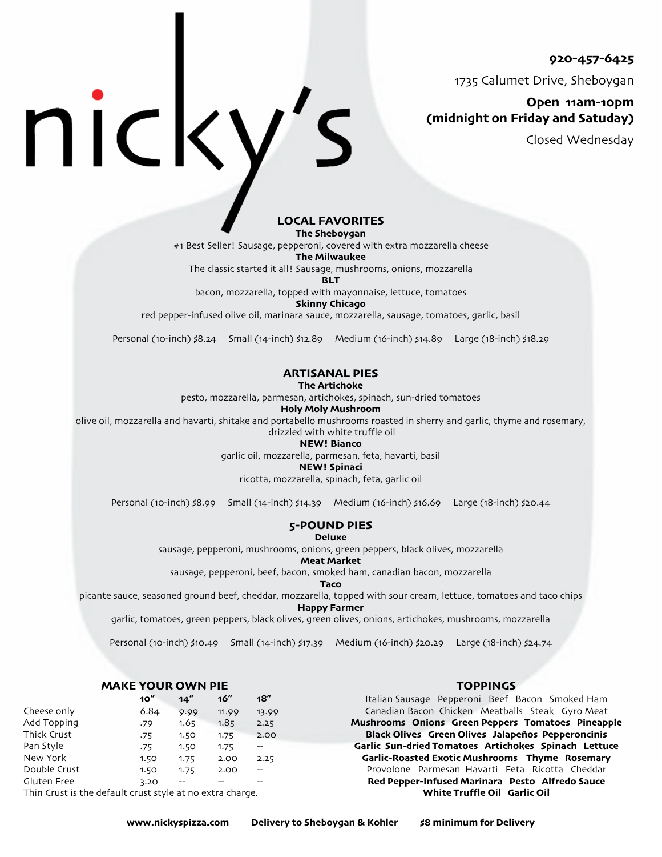**920-457-6425**

1735 Calumet Drive, Sheboygan

# **Open 11am-10pm (midnight on Friday and Satuday)**

Closed Wednesday

# **LOCAL FAVORITES**

**The Sheboygan**

#1 Best Seller! Sausage, pepperoni, covered with extra mozzarella cheese

**The Milwaukee**

The classic started it all! Sausage, mushrooms, onions, mozzarella

**BLT**

bacon, mozzarella, topped with mayonnaise, lettuce, tomatoes

**Skinny Chicago**

red pepper-infused olive oil, marinara sauce, mozzarella, sausage, tomatoes, garlic, basil

Personal (10-inch) \$8.24 Small (14-inch) \$12.89 Medium (16-inch) \$14.89 Large (18-inch) \$18.29

# **ARTISANAL PIES**

**The Artichoke**

pesto, mozzarella, parmesan, artichokes, spinach, sun-dried tomatoes

#### **Holy Moly Mushroom**

olive oil, mozzarella and havarti, shitake and portabello mushrooms roasted in sherry and garlic, thyme and rosemary,

drizzled with white truffle oil

#### **NEW! Bianco**

garlic oil, mozzarella, parmesan, feta, havarti, basil

#### **NEW! Spinaci**

ricotta, mozzarella, spinach, feta, garlic oil

Personal (10-inch) \$8.99 Small (14-inch) \$14.39 Medium (16-inch) \$16.69 Large (18-inch) \$20.44

#### **5-POUND PIES Deluxe**

sausage, pepperoni, mushrooms, onions, green peppers, black olives, mozzarella

#### **Meat Market**

sausage, pepperoni, beef, bacon, smoked ham, canadian bacon, mozzarella

**Taco**

picante sauce, seasoned ground beef, cheddar, mozzarella, topped with sour cream, lettuce, tomatoes and taco chips **Happy Farmer**

garlic, tomatoes, green peppers, black olives, green olives, onions, artichokes, mushrooms, mozzarella

Personal (10-inch) \$10.49 Small (14-inch) \$17.39 Medium (16-inch) \$20.29 Large (18-inch) \$24.74

# **MAKE YOUR OWN PIE**

#### **10" 14" 16" 18"** Cheese only 6.84 9.99 11.99 13.99 Add Topping .79 1.65 1.85 2.25 Thick Crust .75 1.50 1.75 2.00 Pan Style .75 1.50 1.75 New York 1.50 1.75 2.00 2.25 Double Crust 1.50 1.75 2.00 --Gluten Free 3.20 -- -

Thin Crust is the default crust style at no extra charge.

NICK

#### **TOPPINGS**

Italian Sausage Pepperoni Beef Bacon Smoked Ham Canadian Bacon Chicken Meatballs Steak Gyro Meat **Mushrooms Onions Green Peppers Tomatoes Pineapple Black Olives Green Olives Jalapeños Pepperoncinis Garlic Sun-dried Tomatoes Artichokes Spinach Lettuce Garlic-Roasted Exotic Mushrooms Thyme Rosemary** Provolone Parmesan Havarti Feta Ricotta Cheddar **Red Pepper-Infused Marinara Pesto Alfredo Sauce White Truffle Oil Garlic Oil**

**www.nickyspizza.com Delivery to Sheboygan & Kohler \$8 minimum for Delivery**